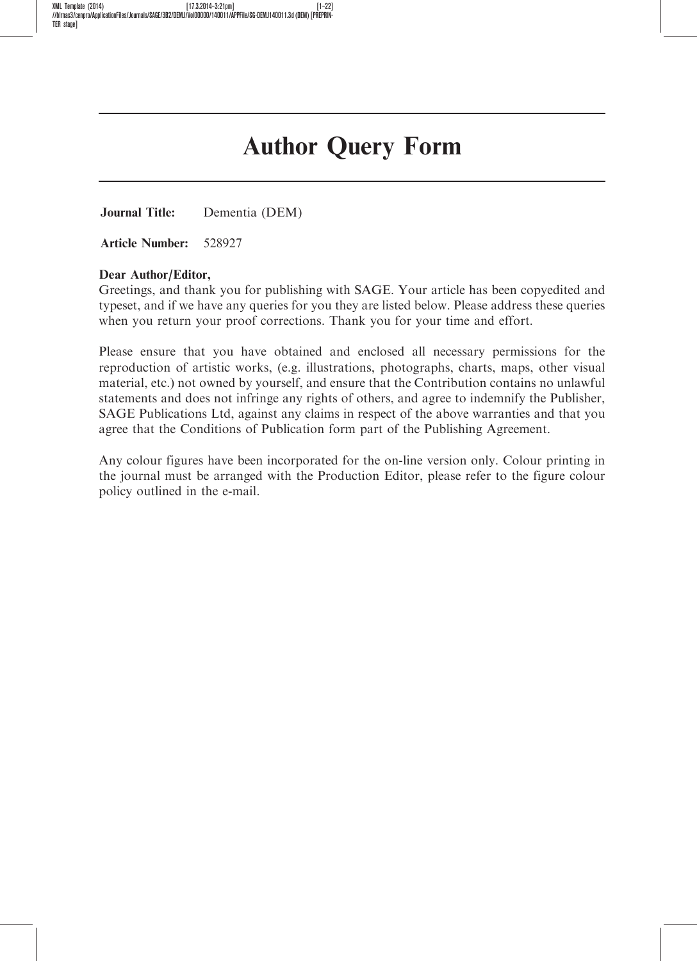XML Template (2014) [17.3.2014–3:21pm] [1–22] //blrnas3/cenpro/ApplicationFiles/Journals/SAGE/3B2/DEMJ/Vol00000/140011/APPFile/SG-DEMJ140011.3d (DEM) [PREPRIN-TER stane]

# Author Query Form

Journal Title: Dementia (DEM)

Article Number: 528927

#### Dear Author/Editor,

Greetings, and thank you for publishing with SAGE. Your article has been copyedited and typeset, and if we have any queries for you they are listed below. Please address these queries when you return your proof corrections. Thank you for your time and effort.

Please ensure that you have obtained and enclosed all necessary permissions for the reproduction of artistic works, (e.g. illustrations, photographs, charts, maps, other visual material, etc.) not owned by yourself, and ensure that the Contribution contains no unlawful statements and does not infringe any rights of others, and agree to indemnify the Publisher, SAGE Publications Ltd, against any claims in respect of the above warranties and that you agree that the Conditions of Publication form part of the Publishing Agreement.

Any colour figures have been incorporated for the on-line version only. Colour printing in the journal must be arranged with the Production Editor, please refer to the figure colour policy outlined in the e-mail.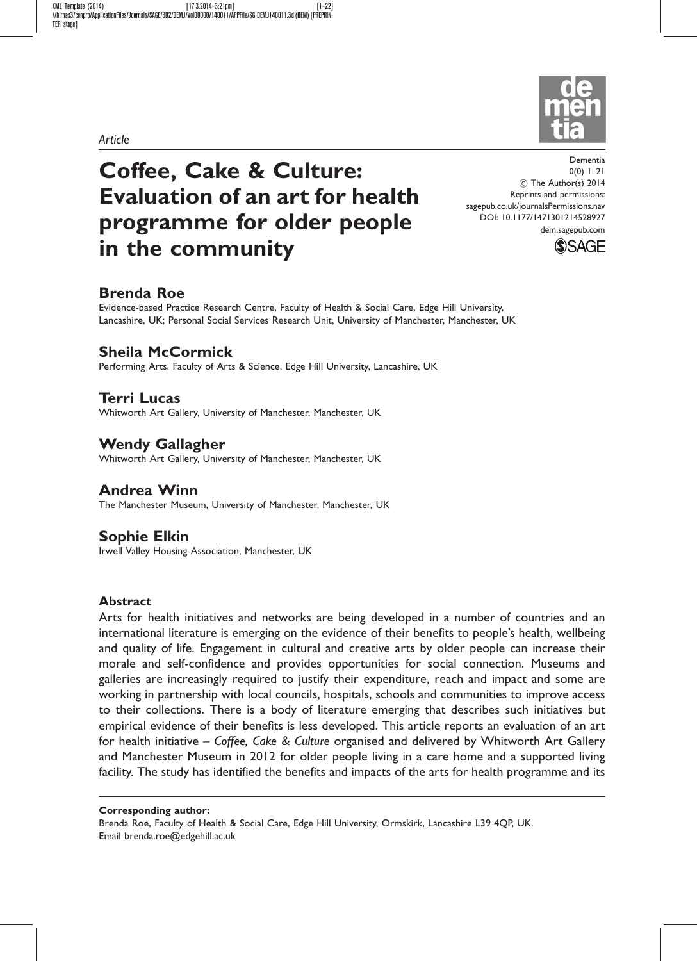XML Template (2014) [17.3.2014–3:21pm] [1–22] //blrnas3/cenpro/ApplicationFiles/Journals/SAGE/3B2/DEMJ/Vol00000/140011/APPFile/SG-DEMJ140011.3d (DEM) [PREPRIN-TER stane]

#### Article

# Coffee, Cake & Culture: Evaluation of an art for health programme for older people in the community

Dementia  $0(0)$  1–21 (C) The Author(s) 2014 Reprints and permissions: sagepub.co.uk/journalsPermissions.nav DOI: 10.1177/1471301214528927 dem.sagepub.com



# Brenda Roe

Evidence-based Practice Research Centre, Faculty of Health & Social Care, Edge Hill University, Lancashire, UK; Personal Social Services Research Unit, University of Manchester, Manchester, UK

# Sheila McCormick

Performing Arts, Faculty of Arts & Science, Edge Hill University, Lancashire, UK

## Terri Lucas

Whitworth Art Gallery, University of Manchester, Manchester, UK

## Wendy Gallagher

Whitworth Art Gallery, University of Manchester, Manchester, UK

## Andrea Winn

The Manchester Museum, University of Manchester, Manchester, UK

## Sophie Elkin

Irwell Valley Housing Association, Manchester, UK

#### **Abstract**

Arts for health initiatives and networks are being developed in a number of countries and an international literature is emerging on the evidence of their benefits to people's health, wellbeing and quality of life. Engagement in cultural and creative arts by older people can increase their morale and self-confidence and provides opportunities for social connection. Museums and galleries are increasingly required to justify their expenditure, reach and impact and some are working in partnership with local councils, hospitals, schools and communities to improve access to their collections. There is a body of literature emerging that describes such initiatives but empirical evidence of their benefits is less developed. This article reports an evaluation of an art for health initiative – Coffee, Cake & Culture organised and delivered by Whitworth Art Gallery and Manchester Museum in 2012 for older people living in a care home and a supported living facility. The study has identified the benefits and impacts of the arts for health programme and its

Brenda Roe, Faculty of Health & Social Care, Edge Hill University, Ormskirk, Lancashire L39 4QP, UK. Email brenda.roe@edgehill.ac.uk

Corresponding author: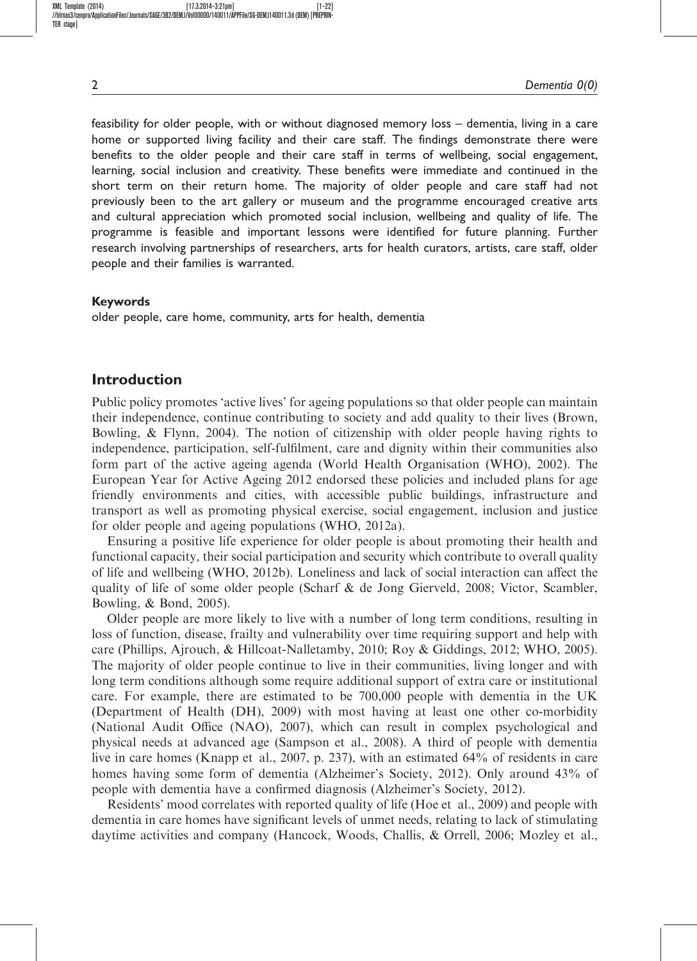feasibility for older people, with or without diagnosed memory loss – dementia, living in a care home or supported living facility and their care staff. The findings demonstrate there were benefits to the older people and their care staff in terms of wellbeing, social engagement, learning, social inclusion and creativity. These benefits were immediate and continued in the short term on their return home. The majority of older people and care staff had not previously been to the art gallery or museum and the programme encouraged creative arts and cultural appreciation which promoted social inclusion, wellbeing and quality of life. The programme is feasible and important lessons were identified for future planning. Further research involving partnerships of researchers, arts for health curators, artists, care staff, older people and their families is warranted.

#### Keywords

older people, care home, community, arts for health, dementia

## Introduction

Public policy promotes 'active lives' for ageing populations so that older people can maintain their independence, continue contributing to society and add quality to their lives (Brown, Bowling, & Flynn, 2004). The notion of citizenship with older people having rights to independence, participation, self-fulfilment, care and dignity within their communities also form part of the active ageing agenda (World Health Organisation (WHO), 2002). The European Year for Active Ageing 2012 endorsed these policies and included plans for age friendly environments and cities, with accessible public buildings, infrastructure and transport as well as promoting physical exercise, social engagement, inclusion and justice for older people and ageing populations (WHO, 2012a).

Ensuring a positive life experience for older people is about promoting their health and functional capacity, their social participation and security which contribute to overall quality of life and wellbeing (WHO, 2012b). Loneliness and lack of social interaction can affect the quality of life of some older people (Scharf & de Jong Gierveld, 2008; Victor, Scambler, Bowling, & Bond, 2005).

Older people are more likely to live with a number of long term conditions, resulting in loss of function, disease, frailty and vulnerability over time requiring support and help with care (Phillips, Ajrouch, & Hillcoat-Nalletamby, 2010; Roy & Giddings, 2012; WHO, 2005). The majority of older people continue to live in their communities, living longer and with long term conditions although some require additional support of extra care or institutional care. For example, there are estimated to be 700,000 people with dementia in the UK (Department of Health (DH), 2009) with most having at least one other co-morbidity (National Audit Office (NAO), 2007), which can result in complex psychological and physical needs at advanced age (Sampson et al., 2008). A third of people with dementia live in care homes (Knapp et al., 2007, p. 237), with an estimated 64% of residents in care homes having some form of dementia (Alzheimer's Society, 2012). Only around 43% of people with dementia have a confirmed diagnosis (Alzheimer's Society, 2012).

Residents' mood correlates with reported quality of life (Hoe et al., 2009) and people with dementia in care homes have significant levels of unmet needs, relating to lack of stimulating daytime activities and company (Hancock, Woods, Challis, & Orrell, 2006; Mozley et al.,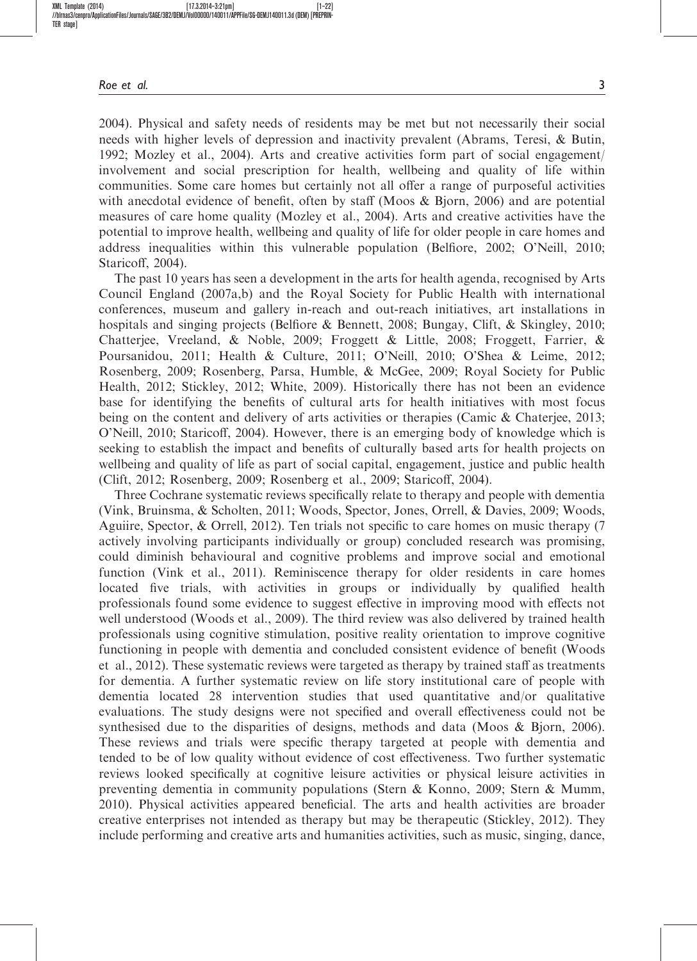$Roe$  et al.  $\overline{3}$ 

2004). Physical and safety needs of residents may be met but not necessarily their social needs with higher levels of depression and inactivity prevalent (Abrams, Teresi, & Butin, 1992; Mozley et al., 2004). Arts and creative activities form part of social engagement/ involvement and social prescription for health, wellbeing and quality of life within communities. Some care homes but certainly not all offer a range of purposeful activities with anecdotal evidence of benefit, often by staff (Moos & Bjorn, 2006) and are potential measures of care home quality (Mozley et al., 2004). Arts and creative activities have the potential to improve health, wellbeing and quality of life for older people in care homes and address inequalities within this vulnerable population (Belfiore, 2002; O'Neill, 2010; Staricoff, 2004).

The past 10 years has seen a development in the arts for health agenda, recognised by Arts Council England (2007a,b) and the Royal Society for Public Health with international conferences, museum and gallery in-reach and out-reach initiatives, art installations in hospitals and singing projects (Belfiore & Bennett, 2008; Bungay, Clift, & Skingley, 2010; Chatterjee, Vreeland, & Noble, 2009; Froggett & Little, 2008; Froggett, Farrier, & Poursanidou, 2011; Health & Culture, 2011; O'Neill, 2010; O'Shea & Leime, 2012; Rosenberg, 2009; Rosenberg, Parsa, Humble, & McGee, 2009; Royal Society for Public Health, 2012; Stickley, 2012; White, 2009). Historically there has not been an evidence base for identifying the benefits of cultural arts for health initiatives with most focus being on the content and delivery of arts activities or therapies (Camic & Chaterjee, 2013; O'Neill, 2010; Staricoff, 2004). However, there is an emerging body of knowledge which is seeking to establish the impact and benefits of culturally based arts for health projects on wellbeing and quality of life as part of social capital, engagement, justice and public health (Clift, 2012; Rosenberg, 2009; Rosenberg et al., 2009; Staricoff, 2004).

Three Cochrane systematic reviews specifically relate to therapy and people with dementia (Vink, Bruinsma, & Scholten, 2011; Woods, Spector, Jones, Orrell, & Davies, 2009; Woods, Aguiire, Spector, & Orrell, 2012). Ten trials not specific to care homes on music therapy (7 actively involving participants individually or group) concluded research was promising, could diminish behavioural and cognitive problems and improve social and emotional function (Vink et al., 2011). Reminiscence therapy for older residents in care homes located five trials, with activities in groups or individually by qualified health professionals found some evidence to suggest effective in improving mood with effects not well understood (Woods et al., 2009). The third review was also delivered by trained health professionals using cognitive stimulation, positive reality orientation to improve cognitive functioning in people with dementia and concluded consistent evidence of benefit (Woods et al., 2012). These systematic reviews were targeted as therapy by trained staff as treatments for dementia. A further systematic review on life story institutional care of people with dementia located 28 intervention studies that used quantitative and/or qualitative evaluations. The study designs were not specified and overall effectiveness could not be synthesised due to the disparities of designs, methods and data (Moos & Bjorn, 2006). These reviews and trials were specific therapy targeted at people with dementia and tended to be of low quality without evidence of cost effectiveness. Two further systematic reviews looked specifically at cognitive leisure activities or physical leisure activities in preventing dementia in community populations (Stern & Konno, 2009; Stern & Mumm, 2010). Physical activities appeared beneficial. The arts and health activities are broader creative enterprises not intended as therapy but may be therapeutic (Stickley, 2012). They include performing and creative arts and humanities activities, such as music, singing, dance,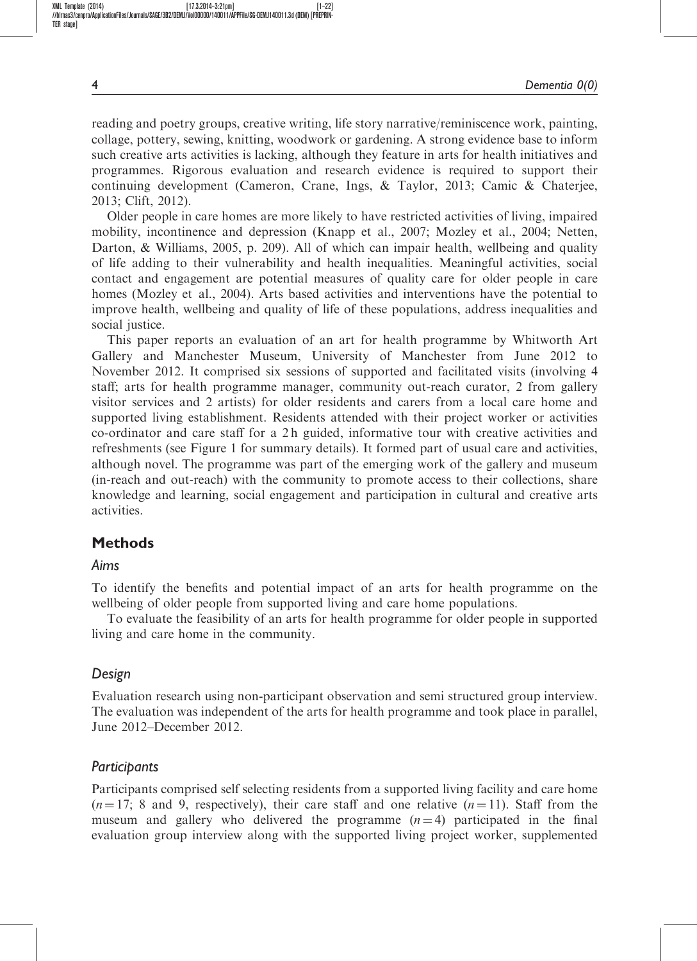XML Template (2014) [17.3.2014–3:21pm] [1–22] //blrnas3/cenpro/ApplicationFiles/Journals/SAGE/3B2/DEMJ/Vol00000/140011/APPFile/SG-DEMJ140011.3d (DEM) [PREPRIN-TER stane]

reading and poetry groups, creative writing, life story narrative/reminiscence work, painting, collage, pottery, sewing, knitting, woodwork or gardening. A strong evidence base to inform such creative arts activities is lacking, although they feature in arts for health initiatives and programmes. Rigorous evaluation and research evidence is required to support their continuing development (Cameron, Crane, Ings, & Taylor, 2013; Camic & Chaterjee, 2013; Clift, 2012).

Older people in care homes are more likely to have restricted activities of living, impaired mobility, incontinence and depression (Knapp et al., 2007; Mozley et al., 2004; Netten, Darton, & Williams, 2005, p. 209). All of which can impair health, wellbeing and quality of life adding to their vulnerability and health inequalities. Meaningful activities, social contact and engagement are potential measures of quality care for older people in care homes (Mozley et al., 2004). Arts based activities and interventions have the potential to improve health, wellbeing and quality of life of these populations, address inequalities and social justice.

This paper reports an evaluation of an art for health programme by Whitworth Art Gallery and Manchester Museum, University of Manchester from June 2012 to November 2012. It comprised six sessions of supported and facilitated visits (involving 4 staff; arts for health programme manager, community out-reach curator, 2 from gallery visitor services and 2 artists) for older residents and carers from a local care home and supported living establishment. Residents attended with their project worker or activities co-ordinator and care staff for a 2 h guided, informative tour with creative activities and refreshments (see Figure 1 for summary details). It formed part of usual care and activities, although novel. The programme was part of the emerging work of the gallery and museum (in-reach and out-reach) with the community to promote access to their collections, share knowledge and learning, social engagement and participation in cultural and creative arts activities.

## **Methods**

#### Aims

To identify the benefits and potential impact of an arts for health programme on the wellbeing of older people from supported living and care home populations.

To evaluate the feasibility of an arts for health programme for older people in supported living and care home in the community.

#### Design

Evaluation research using non-participant observation and semi structured group interview. The evaluation was independent of the arts for health programme and took place in parallel, June 2012–December 2012.

#### **Participants**

Participants comprised self selecting residents from a supported living facility and care home  $(n = 17; 8$  and 9, respectively), their care staff and one relative  $(n = 11)$ . Staff from the museum and gallery who delivered the programme  $(n = 4)$  participated in the final evaluation group interview along with the supported living project worker, supplemented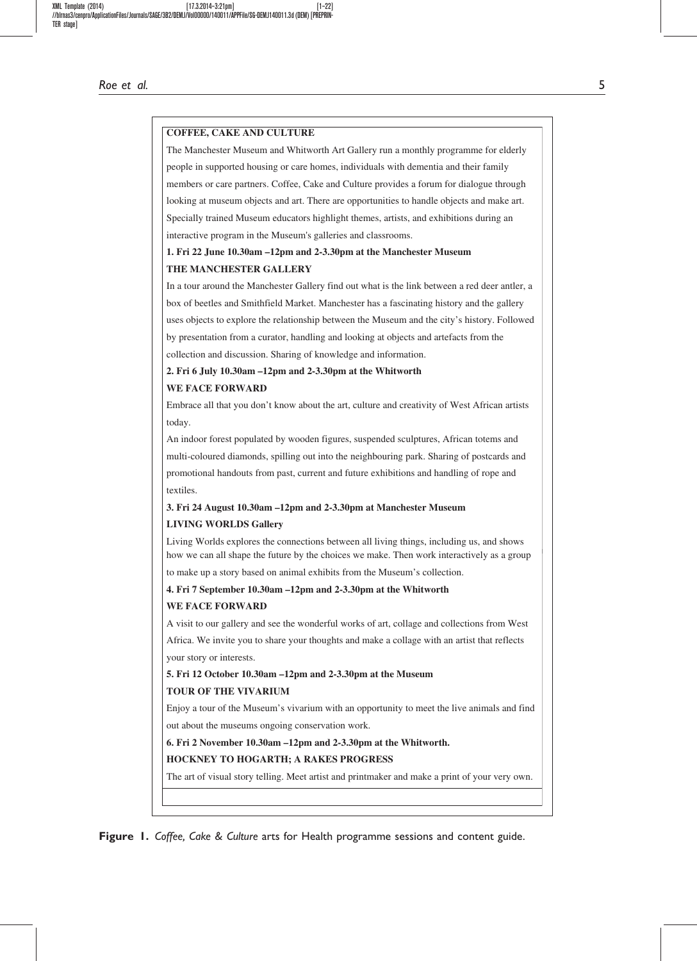# **COFFEE, CAKE AND CULTURE** The Manchester Museum and Whitworth Art Gallery run a monthly programme for elderly people in supported housing or care homes, individuals with dementia and their family members or care partners. Coffee, Cake and Culture provides a forum for dialogue through looking at museum objects and art. There are opportunities to handle objects and make art. Specially trained Museum educators highlight themes, artists, and exhibitions during an interactive program in the Museum's galleries and classrooms. **1. Fri 22 June 10.30am –12pm and 2-3.30pm at the Manchester Museum THE MANCHESTER GALLERY** In a tour around the Manchester Gallery find out what is the link between a red deer antler, a box of beetles and Smithfield Market. Manchester has a fascinating history and the gallery uses objects to explore the relationship between the Museum and the city's history. Followed by presentation from a curator, handling and looking at objects and artefacts from the collection and discussion. Sharing of knowledge and information. **2. Fri 6 July 10.30am –12pm and 2-3.30pm at the Whitworth WE FACE FORWARD** Embrace all that you don't know about the art, culture and creativity of West African artists today. An indoor forest populated by wooden figures, suspended sculptures, African totems and multi-coloured diamonds, spilling out into the neighbouring park. Sharing of postcards and promotional handouts from past, current and future exhibitions and handling of rope and textiles. **3. Fri 24 August 10.30am –12pm and 2-3.30pm at Manchester Museum LIVING WORLDS Gallery** Living Worlds explores the connections between all living things, including us, and shows how we can all shape the future by the choices we make. Then work interactively as a group to make up a story based on animal exhibits from the Museum's collection. **4. Fri 7 September 10.30am –12pm and 2-3.30pm at the Whitworth WE FACE FORWARD** A visit to our gallery and see the wonderful works of art, collage and collections from West Africa. We invite you to share your thoughts and make a collage with an artist that reflects your story or interests. **5. Fri 12 October 10.30am –12pm and 2-3.30pm at the Museum TOUR OF THE VIVARIUM** Enjoy a tour of the Museum's vivarium with an opportunity to meet the live animals and find out about the museums ongoing conservation work. **6. Fri 2 November 10.30am –12pm and 2-3.30pm at the Whitworth. HOCKNEY TO HOGARTH; A RAKES PROGRESS** The art of visual story telling. Meet artist and printmaker and make a print of your very own.

Figure 1. Coffee, Cake & Culture arts for Health programme sessions and content guide.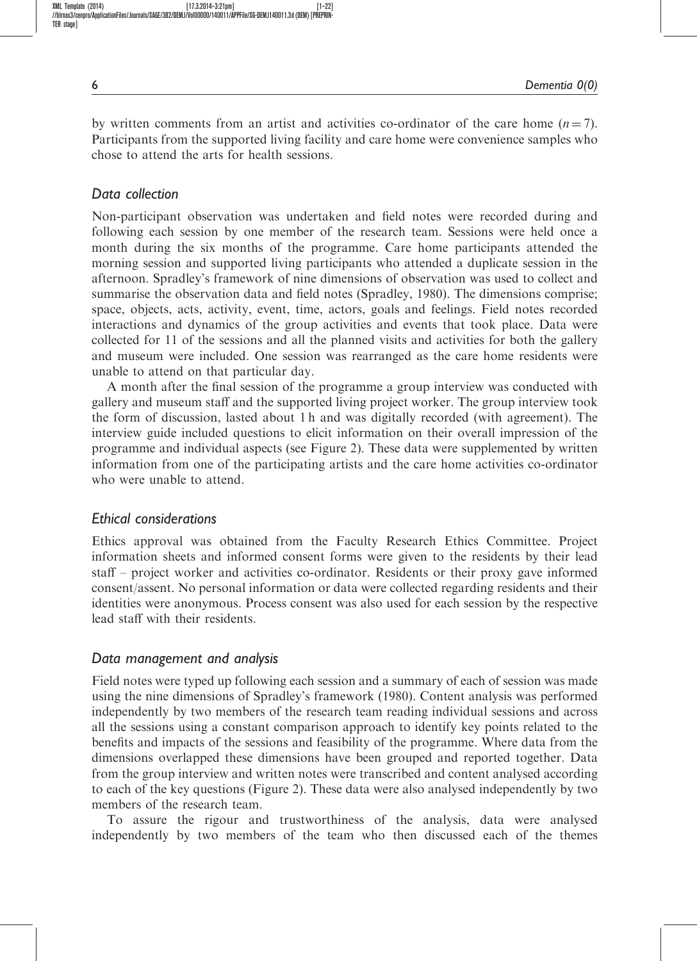by written comments from an artist and activities co-ordinator of the care home  $(n = 7)$ . Participants from the supported living facility and care home were convenience samples who chose to attend the arts for health sessions.

## Data collection

Non-participant observation was undertaken and field notes were recorded during and following each session by one member of the research team. Sessions were held once a month during the six months of the programme. Care home participants attended the morning session and supported living participants who attended a duplicate session in the afternoon. Spradley's framework of nine dimensions of observation was used to collect and summarise the observation data and field notes (Spradley, 1980). The dimensions comprise; space, objects, acts, activity, event, time, actors, goals and feelings. Field notes recorded interactions and dynamics of the group activities and events that took place. Data were collected for 11 of the sessions and all the planned visits and activities for both the gallery and museum were included. One session was rearranged as the care home residents were unable to attend on that particular day.

A month after the final session of the programme a group interview was conducted with gallery and museum staff and the supported living project worker. The group interview took the form of discussion, lasted about 1 h and was digitally recorded (with agreement). The interview guide included questions to elicit information on their overall impression of the programme and individual aspects (see Figure 2). These data were supplemented by written information from one of the participating artists and the care home activities co-ordinator who were unable to attend.

#### Ethical considerations

Ethics approval was obtained from the Faculty Research Ethics Committee. Project information sheets and informed consent forms were given to the residents by their lead staff – project worker and activities co-ordinator. Residents or their proxy gave informed consent/assent. No personal information or data were collected regarding residents and their identities were anonymous. Process consent was also used for each session by the respective lead staff with their residents.

## Data management and analysis

Field notes were typed up following each session and a summary of each of session was made using the nine dimensions of Spradley's framework (1980). Content analysis was performed independently by two members of the research team reading individual sessions and across all the sessions using a constant comparison approach to identify key points related to the benefits and impacts of the sessions and feasibility of the programme. Where data from the dimensions overlapped these dimensions have been grouped and reported together. Data from the group interview and written notes were transcribed and content analysed according to each of the key questions (Figure 2). These data were also analysed independently by two members of the research team.

To assure the rigour and trustworthiness of the analysis, data were analysed independently by two members of the team who then discussed each of the themes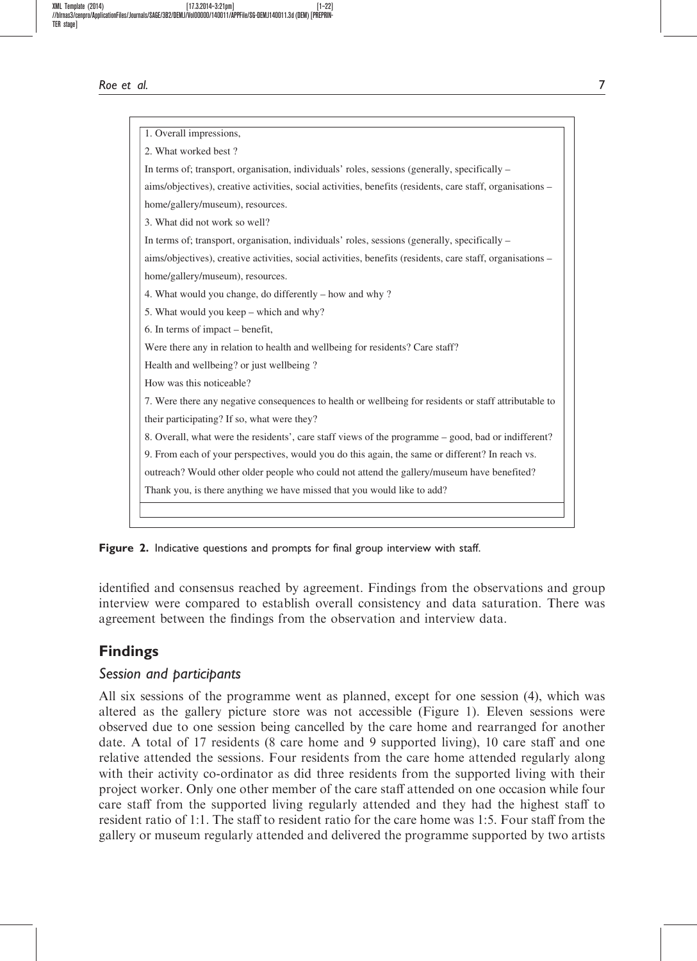Roe et al. 2008 and 2008 and 2008 and 2008 and 2008 and 2008 and 2008 and 2008 and 2008 and 2008 and 2008 and 2008 and 2008 and 2008 and 2008 and 2008 and 2008 and 2008 and 2008 and 2008 and 2008 and 2008 and 2008 and 2008

1. Overall impressions, 2. What worked best ? In terms of; transport, organisation, individuals' roles, sessions (generally, specifically – aims/objectives), creative activities, social activities, benefits (residents, care staff, organisations – home/gallery/museum), resources. 3. What did not work so well? In terms of; transport, organisation, individuals' roles, sessions (generally, specifically – aims/objectives), creative activities, social activities, benefits (residents, care staff, organisations – home/gallery/museum), resources. 4. What would you change, do differently – how and why ? 5. What would you keep – which and why? 6. In terms of impact – benefit, Were there any in relation to health and wellbeing for residents? Care staff? Health and wellbeing? or just wellbeing ? How was this noticeable? 7. Were there any negative consequences to health or wellbeing for residents or staff attributable to their participating? If so, what were they? 8. Overall, what were the residents', care staff views of the programme – good, bad or indifferent? 9. From each of your perspectives, would you do this again, the same or different? In reach vs. outreach? Would other older people who could not attend the gallery/museum have benefited? Thank you, is there anything we have missed that you would like to add?

Figure 2. Indicative questions and prompts for final group interview with staff.

identified and consensus reached by agreement. Findings from the observations and group interview were compared to establish overall consistency and data saturation. There was agreement between the findings from the observation and interview data.

## Findings

### Session and participants

All six sessions of the programme went as planned, except for one session (4), which was altered as the gallery picture store was not accessible (Figure 1). Eleven sessions were observed due to one session being cancelled by the care home and rearranged for another date. A total of 17 residents (8 care home and 9 supported living), 10 care staff and one relative attended the sessions. Four residents from the care home attended regularly along with their activity co-ordinator as did three residents from the supported living with their project worker. Only one other member of the care staff attended on one occasion while four care staff from the supported living regularly attended and they had the highest staff to resident ratio of 1:1. The staff to resident ratio for the care home was 1:5. Four staff from the gallery or museum regularly attended and delivered the programme supported by two artists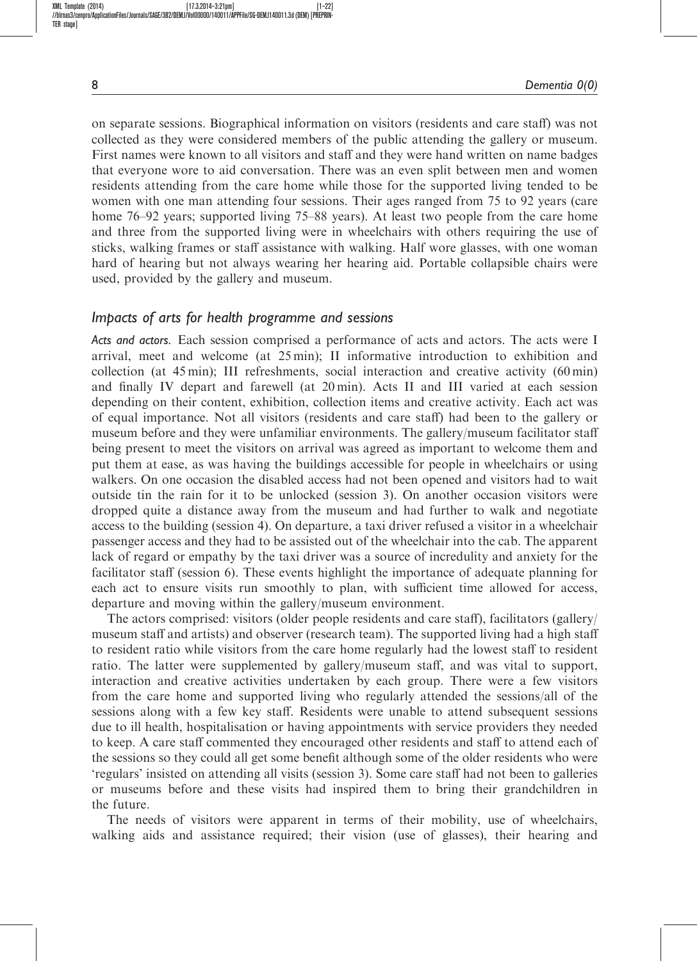on separate sessions. Biographical information on visitors (residents and care staff) was not collected as they were considered members of the public attending the gallery or museum. First names were known to all visitors and staff and they were hand written on name badges that everyone wore to aid conversation. There was an even split between men and women residents attending from the care home while those for the supported living tended to be women with one man attending four sessions. Their ages ranged from 75 to 92 years (care home 76–92 years; supported living 75–88 years). At least two people from the care home and three from the supported living were in wheelchairs with others requiring the use of sticks, walking frames or staff assistance with walking. Half wore glasses, with one woman hard of hearing but not always wearing her hearing aid. Portable collapsible chairs were used, provided by the gallery and museum.

## Impacts of arts for health programme and sessions

Acts and actors. Each session comprised a performance of acts and actors. The acts were I arrival, meet and welcome (at 25 min); II informative introduction to exhibition and collection (at 45 min); III refreshments, social interaction and creative activity (60 min) and finally IV depart and farewell (at 20 min). Acts II and III varied at each session depending on their content, exhibition, collection items and creative activity. Each act was of equal importance. Not all visitors (residents and care staff) had been to the gallery or museum before and they were unfamiliar environments. The gallery/museum facilitator staff being present to meet the visitors on arrival was agreed as important to welcome them and put them at ease, as was having the buildings accessible for people in wheelchairs or using walkers. On one occasion the disabled access had not been opened and visitors had to wait outside tin the rain for it to be unlocked (session 3). On another occasion visitors were dropped quite a distance away from the museum and had further to walk and negotiate access to the building (session 4). On departure, a taxi driver refused a visitor in a wheelchair passenger access and they had to be assisted out of the wheelchair into the cab. The apparent lack of regard or empathy by the taxi driver was a source of incredulity and anxiety for the facilitator staff (session 6). These events highlight the importance of adequate planning for each act to ensure visits run smoothly to plan, with sufficient time allowed for access, departure and moving within the gallery/museum environment.

The actors comprised: visitors (older people residents and care staff), facilitators (gallery/ museum staff and artists) and observer (research team). The supported living had a high staff to resident ratio while visitors from the care home regularly had the lowest staff to resident ratio. The latter were supplemented by gallery/museum staff, and was vital to support, interaction and creative activities undertaken by each group. There were a few visitors from the care home and supported living who regularly attended the sessions/all of the sessions along with a few key staff. Residents were unable to attend subsequent sessions due to ill health, hospitalisation or having appointments with service providers they needed to keep. A care staff commented they encouraged other residents and staff to attend each of the sessions so they could all get some benefit although some of the older residents who were 'regulars' insisted on attending all visits (session 3). Some care staff had not been to galleries or museums before and these visits had inspired them to bring their grandchildren in the future.

The needs of visitors were apparent in terms of their mobility, use of wheelchairs, walking aids and assistance required; their vision (use of glasses), their hearing and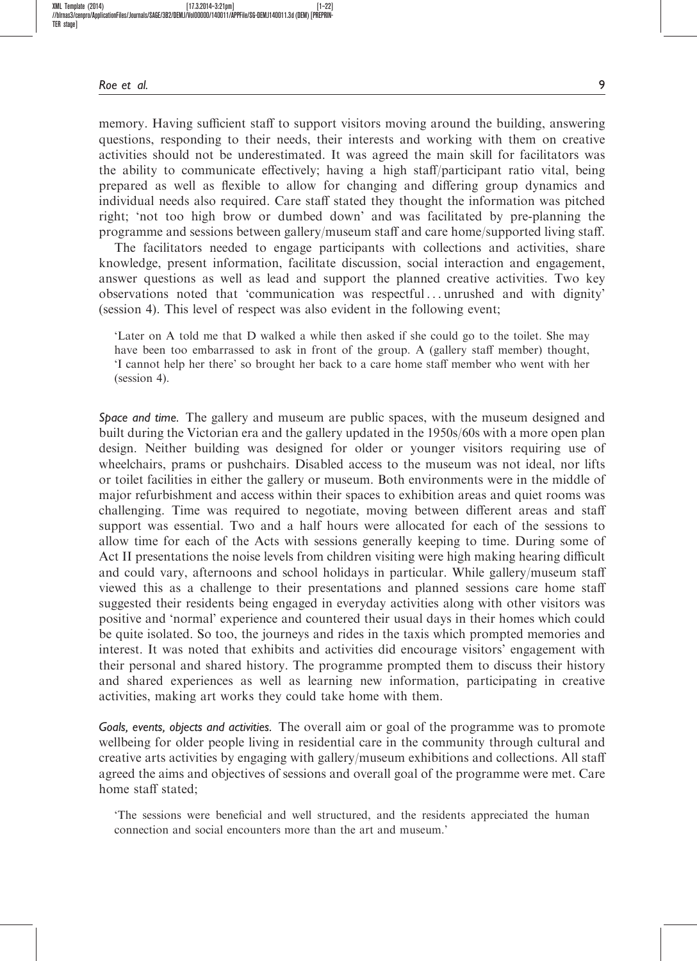memory. Having sufficient staff to support visitors moving around the building, answering questions, responding to their needs, their interests and working with them on creative activities should not be underestimated. It was agreed the main skill for facilitators was the ability to communicate effectively; having a high staff/participant ratio vital, being prepared as well as flexible to allow for changing and differing group dynamics and individual needs also required. Care staff stated they thought the information was pitched right; 'not too high brow or dumbed down' and was facilitated by pre-planning the programme and sessions between gallery/museum staff and care home/supported living staff.

The facilitators needed to engage participants with collections and activities, share knowledge, present information, facilitate discussion, social interaction and engagement, answer questions as well as lead and support the planned creative activities. Two key observations noted that 'communication was respectful ... unrushed and with dignity' (session 4). This level of respect was also evident in the following event;

'Later on A told me that D walked a while then asked if she could go to the toilet. She may have been too embarrassed to ask in front of the group. A (gallery staff member) thought, 'I cannot help her there' so brought her back to a care home staff member who went with her (session 4).

Space and time. The gallery and museum are public spaces, with the museum designed and built during the Victorian era and the gallery updated in the 1950s/60s with a more open plan design. Neither building was designed for older or younger visitors requiring use of wheelchairs, prams or pushchairs. Disabled access to the museum was not ideal, nor lifts or toilet facilities in either the gallery or museum. Both environments were in the middle of major refurbishment and access within their spaces to exhibition areas and quiet rooms was challenging. Time was required to negotiate, moving between different areas and staff support was essential. Two and a half hours were allocated for each of the sessions to allow time for each of the Acts with sessions generally keeping to time. During some of Act II presentations the noise levels from children visiting were high making hearing difficult and could vary, afternoons and school holidays in particular. While gallery/museum staff viewed this as a challenge to their presentations and planned sessions care home staff suggested their residents being engaged in everyday activities along with other visitors was positive and 'normal' experience and countered their usual days in their homes which could be quite isolated. So too, the journeys and rides in the taxis which prompted memories and interest. It was noted that exhibits and activities did encourage visitors' engagement with their personal and shared history. The programme prompted them to discuss their history and shared experiences as well as learning new information, participating in creative activities, making art works they could take home with them.

Goals, events, objects and activities. The overall aim or goal of the programme was to promote wellbeing for older people living in residential care in the community through cultural and creative arts activities by engaging with gallery/museum exhibitions and collections. All staff agreed the aims and objectives of sessions and overall goal of the programme were met. Care home staff stated;

'The sessions were beneficial and well structured, and the residents appreciated the human connection and social encounters more than the art and museum.'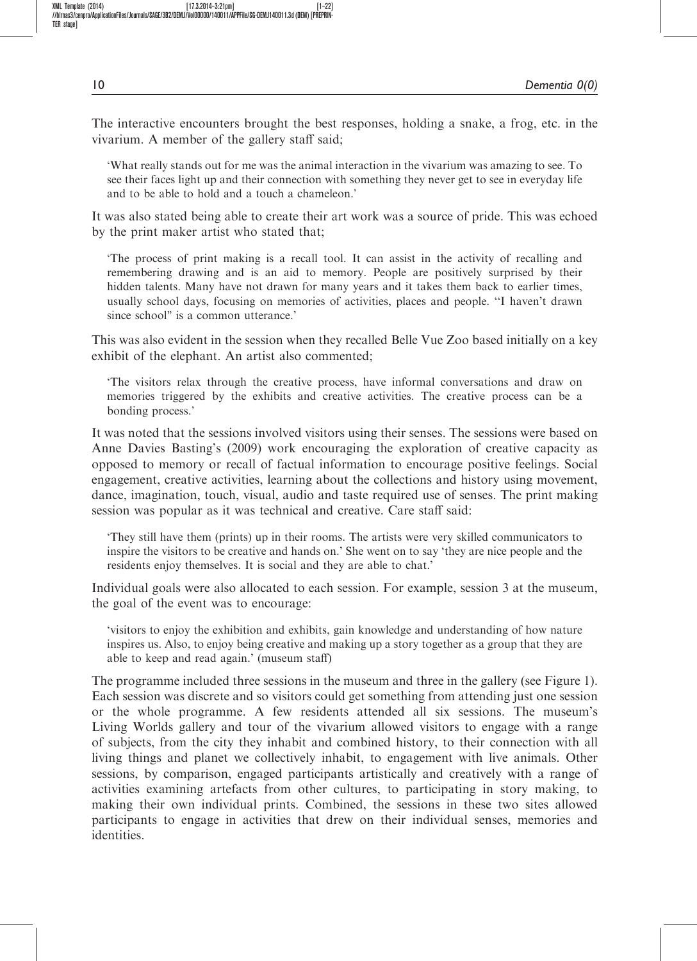The interactive encounters brought the best responses, holding a snake, a frog, etc. in the vivarium. A member of the gallery staff said;

'What really stands out for me was the animal interaction in the vivarium was amazing to see. To see their faces light up and their connection with something they never get to see in everyday life and to be able to hold and a touch a chameleon.'

It was also stated being able to create their art work was a source of pride. This was echoed by the print maker artist who stated that;

'The process of print making is a recall tool. It can assist in the activity of recalling and remembering drawing and is an aid to memory. People are positively surprised by their hidden talents. Many have not drawn for many years and it takes them back to earlier times, usually school days, focusing on memories of activities, places and people. ''I haven't drawn since school" is a common utterance.'

This was also evident in the session when they recalled Belle Vue Zoo based initially on a key exhibit of the elephant. An artist also commented;

'The visitors relax through the creative process, have informal conversations and draw on memories triggered by the exhibits and creative activities. The creative process can be a bonding process.'

It was noted that the sessions involved visitors using their senses. The sessions were based on Anne Davies Basting's (2009) work encouraging the exploration of creative capacity as opposed to memory or recall of factual information to encourage positive feelings. Social engagement, creative activities, learning about the collections and history using movement, dance, imagination, touch, visual, audio and taste required use of senses. The print making session was popular as it was technical and creative. Care staff said:

'They still have them (prints) up in their rooms. The artists were very skilled communicators to inspire the visitors to be creative and hands on.' She went on to say 'they are nice people and the residents enjoy themselves. It is social and they are able to chat.'

Individual goals were also allocated to each session. For example, session 3 at the museum, the goal of the event was to encourage:

'visitors to enjoy the exhibition and exhibits, gain knowledge and understanding of how nature inspires us. Also, to enjoy being creative and making up a story together as a group that they are able to keep and read again.' (museum staff)

The programme included three sessions in the museum and three in the gallery (see Figure 1). Each session was discrete and so visitors could get something from attending just one session or the whole programme. A few residents attended all six sessions. The museum's Living Worlds gallery and tour of the vivarium allowed visitors to engage with a range of subjects, from the city they inhabit and combined history, to their connection with all living things and planet we collectively inhabit, to engagement with live animals. Other sessions, by comparison, engaged participants artistically and creatively with a range of activities examining artefacts from other cultures, to participating in story making, to making their own individual prints. Combined, the sessions in these two sites allowed participants to engage in activities that drew on their individual senses, memories and identities.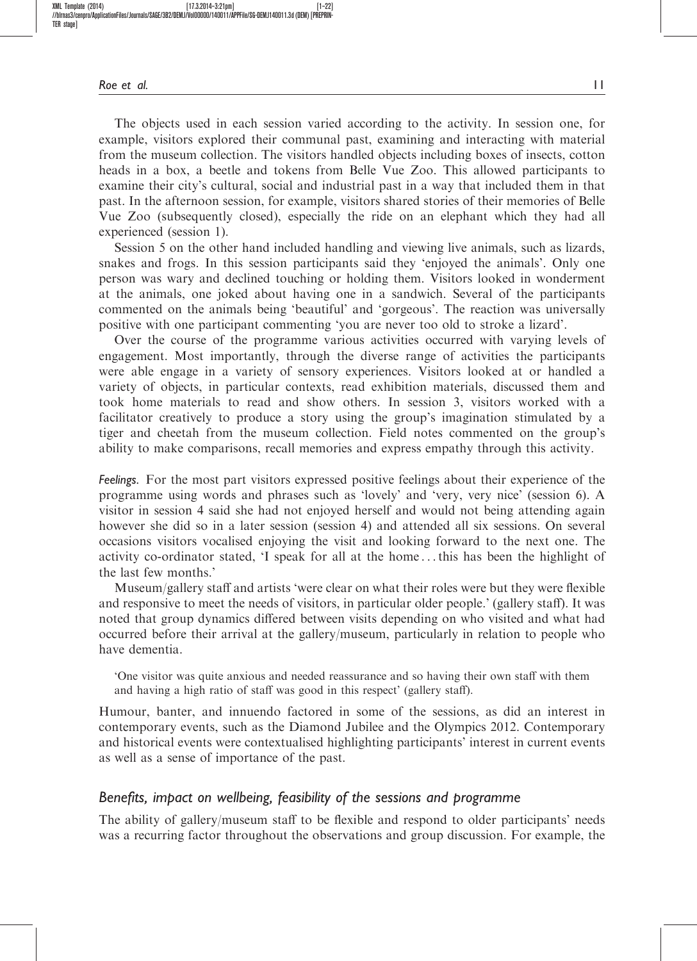The objects used in each session varied according to the activity. In session one, for example, visitors explored their communal past, examining and interacting with material from the museum collection. The visitors handled objects including boxes of insects, cotton heads in a box, a beetle and tokens from Belle Vue Zoo. This allowed participants to examine their city's cultural, social and industrial past in a way that included them in that past. In the afternoon session, for example, visitors shared stories of their memories of Belle Vue Zoo (subsequently closed), especially the ride on an elephant which they had all experienced (session 1).

Session 5 on the other hand included handling and viewing live animals, such as lizards, snakes and frogs. In this session participants said they 'enjoyed the animals'. Only one person was wary and declined touching or holding them. Visitors looked in wonderment at the animals, one joked about having one in a sandwich. Several of the participants commented on the animals being 'beautiful' and 'gorgeous'. The reaction was universally positive with one participant commenting 'you are never too old to stroke a lizard'.

Over the course of the programme various activities occurred with varying levels of engagement. Most importantly, through the diverse range of activities the participants were able engage in a variety of sensory experiences. Visitors looked at or handled a variety of objects, in particular contexts, read exhibition materials, discussed them and took home materials to read and show others. In session 3, visitors worked with a facilitator creatively to produce a story using the group's imagination stimulated by a tiger and cheetah from the museum collection. Field notes commented on the group's ability to make comparisons, recall memories and express empathy through this activity.

Feelings. For the most part visitors expressed positive feelings about their experience of the programme using words and phrases such as 'lovely' and 'very, very nice' (session 6). A visitor in session 4 said she had not enjoyed herself and would not being attending again however she did so in a later session (session 4) and attended all six sessions. On several occasions visitors vocalised enjoying the visit and looking forward to the next one. The activity co-ordinator stated, 'I speak for all at the home ... this has been the highlight of the last few months.'

Museum/gallery staff and artists 'were clear on what their roles were but they were flexible and responsive to meet the needs of visitors, in particular older people.' (gallery staff). It was noted that group dynamics differed between visits depending on who visited and what had occurred before their arrival at the gallery/museum, particularly in relation to people who have dementia.

'One visitor was quite anxious and needed reassurance and so having their own staff with them and having a high ratio of staff was good in this respect' (gallery staff).

Humour, banter, and innuendo factored in some of the sessions, as did an interest in contemporary events, such as the Diamond Jubilee and the Olympics 2012. Contemporary and historical events were contextualised highlighting participants' interest in current events as well as a sense of importance of the past.

#### Benefits, impact on wellbeing, feasibility of the sessions and programme

The ability of gallery/museum staff to be flexible and respond to older participants' needs was a recurring factor throughout the observations and group discussion. For example, the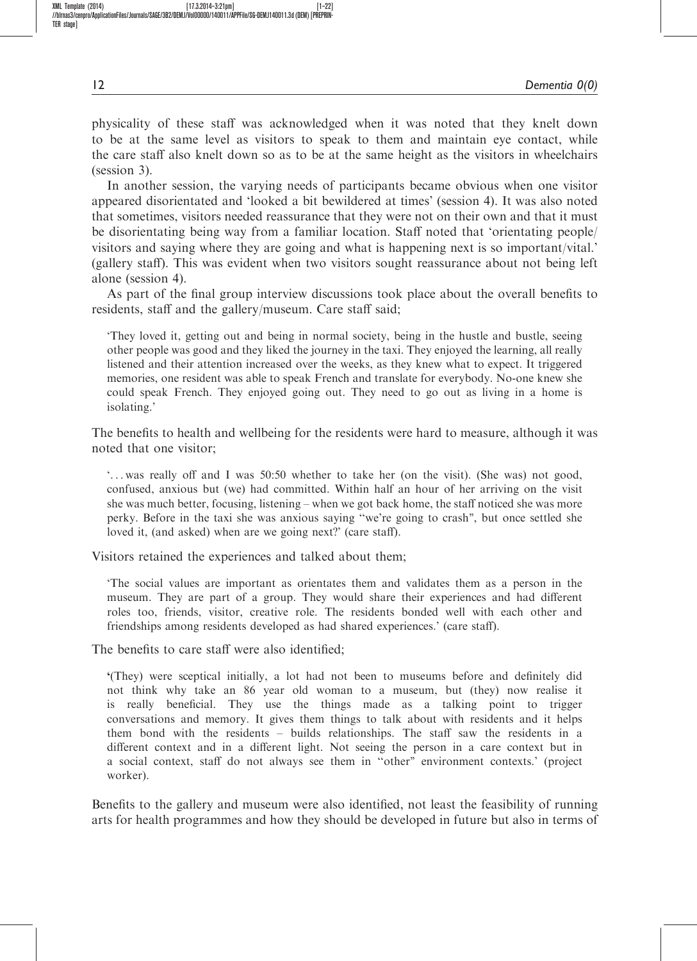physicality of these staff was acknowledged when it was noted that they knelt down to be at the same level as visitors to speak to them and maintain eye contact, while the care staff also knelt down so as to be at the same height as the visitors in wheelchairs (session 3).

In another session, the varying needs of participants became obvious when one visitor appeared disorientated and 'looked a bit bewildered at times' (session 4). It was also noted that sometimes, visitors needed reassurance that they were not on their own and that it must be disorientating being way from a familiar location. Staff noted that 'orientating people/ visitors and saying where they are going and what is happening next is so important/vital.' (gallery staff). This was evident when two visitors sought reassurance about not being left alone (session 4).

As part of the final group interview discussions took place about the overall benefits to residents, staff and the gallery/museum. Care staff said;

'They loved it, getting out and being in normal society, being in the hustle and bustle, seeing other people was good and they liked the journey in the taxi. They enjoyed the learning, all really listened and their attention increased over the weeks, as they knew what to expect. It triggered memories, one resident was able to speak French and translate for everybody. No-one knew she could speak French. They enjoyed going out. They need to go out as living in a home is isolating.'

The benefits to health and wellbeing for the residents were hard to measure, although it was noted that one visitor;

'... was really off and I was 50:50 whether to take her (on the visit). (She was) not good, confused, anxious but (we) had committed. Within half an hour of her arriving on the visit she was much better, focusing, listening – when we got back home, the staff noticed she was more perky. Before in the taxi she was anxious saying "we're going to crash", but once settled she loved it, (and asked) when are we going next?' (care staff).

Visitors retained the experiences and talked about them;

'The social values are important as orientates them and validates them as a person in the museum. They are part of a group. They would share their experiences and had different roles too, friends, visitor, creative role. The residents bonded well with each other and friendships among residents developed as had shared experiences.' (care staff).

The benefits to care staff were also identified;

'(They) were sceptical initially, a lot had not been to museums before and definitely did not think why take an 86 year old woman to a museum, but (they) now realise it is really beneficial. They use the things made as a talking point to trigger conversations and memory. It gives them things to talk about with residents and it helps them bond with the residents – builds relationships. The staff saw the residents in a different context and in a different light. Not seeing the person in a care context but in a social context, staff do not always see them in "other" environment contexts.' (project worker).

Benefits to the gallery and museum were also identified, not least the feasibility of running arts for health programmes and how they should be developed in future but also in terms of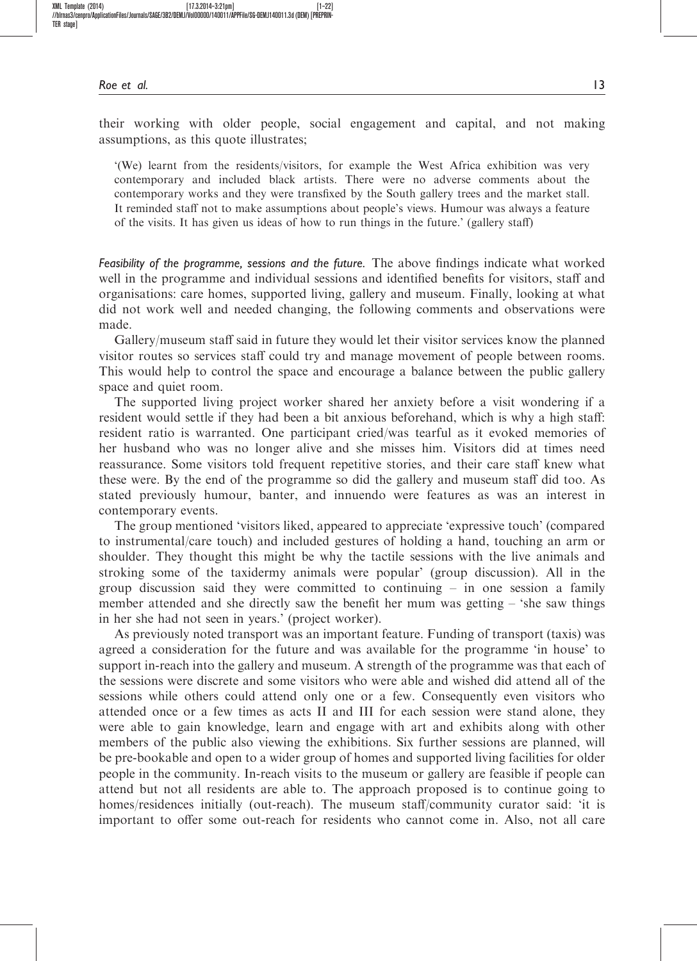their working with older people, social engagement and capital, and not making assumptions, as this quote illustrates;

'(We) learnt from the residents/visitors, for example the West Africa exhibition was very contemporary and included black artists. There were no adverse comments about the contemporary works and they were transfixed by the South gallery trees and the market stall. It reminded staff not to make assumptions about people's views. Humour was always a feature of the visits. It has given us ideas of how to run things in the future.' (gallery staff)

Feasibility of the programme, sessions and the future. The above findings indicate what worked well in the programme and individual sessions and identified benefits for visitors, staff and organisations: care homes, supported living, gallery and museum. Finally, looking at what did not work well and needed changing, the following comments and observations were made.

Gallery/museum staff said in future they would let their visitor services know the planned visitor routes so services staff could try and manage movement of people between rooms. This would help to control the space and encourage a balance between the public gallery space and quiet room.

The supported living project worker shared her anxiety before a visit wondering if a resident would settle if they had been a bit anxious beforehand, which is why a high staff: resident ratio is warranted. One participant cried/was tearful as it evoked memories of her husband who was no longer alive and she misses him. Visitors did at times need reassurance. Some visitors told frequent repetitive stories, and their care staff knew what these were. By the end of the programme so did the gallery and museum staff did too. As stated previously humour, banter, and innuendo were features as was an interest in contemporary events.

The group mentioned 'visitors liked, appeared to appreciate 'expressive touch' (compared to instrumental/care touch) and included gestures of holding a hand, touching an arm or shoulder. They thought this might be why the tactile sessions with the live animals and stroking some of the taxidermy animals were popular' (group discussion). All in the group discussion said they were committed to continuing  $-$  in one session a family member attended and she directly saw the benefit her mum was getting – 'she saw things in her she had not seen in years.' (project worker).

As previously noted transport was an important feature. Funding of transport (taxis) was agreed a consideration for the future and was available for the programme 'in house' to support in-reach into the gallery and museum. A strength of the programme was that each of the sessions were discrete and some visitors who were able and wished did attend all of the sessions while others could attend only one or a few. Consequently even visitors who attended once or a few times as acts II and III for each session were stand alone, they were able to gain knowledge, learn and engage with art and exhibits along with other members of the public also viewing the exhibitions. Six further sessions are planned, will be pre-bookable and open to a wider group of homes and supported living facilities for older people in the community. In-reach visits to the museum or gallery are feasible if people can attend but not all residents are able to. The approach proposed is to continue going to homes/residences initially (out-reach). The museum staff/community curator said: 'it is important to offer some out-reach for residents who cannot come in. Also, not all care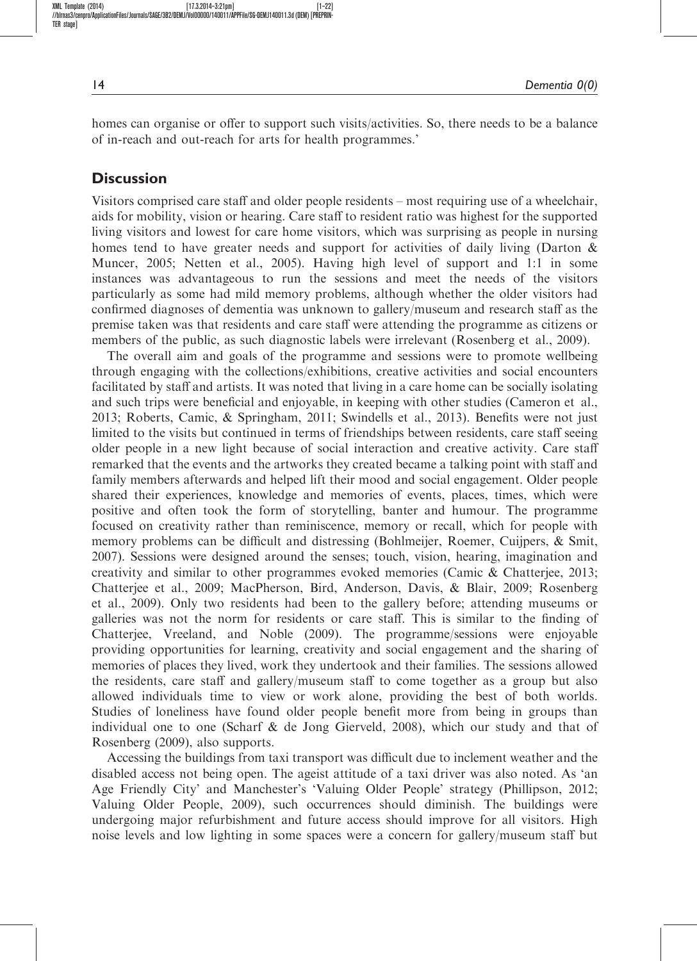homes can organise or offer to support such visits/activities. So, there needs to be a balance of in-reach and out-reach for arts for health programmes.'

## **Discussion**

Visitors comprised care staff and older people residents – most requiring use of a wheelchair, aids for mobility, vision or hearing. Care staff to resident ratio was highest for the supported living visitors and lowest for care home visitors, which was surprising as people in nursing homes tend to have greater needs and support for activities of daily living (Darton & Muncer, 2005; Netten et al., 2005). Having high level of support and 1:1 in some instances was advantageous to run the sessions and meet the needs of the visitors particularly as some had mild memory problems, although whether the older visitors had confirmed diagnoses of dementia was unknown to gallery/museum and research staff as the premise taken was that residents and care staff were attending the programme as citizens or members of the public, as such diagnostic labels were irrelevant (Rosenberg et al., 2009).

The overall aim and goals of the programme and sessions were to promote wellbeing through engaging with the collections/exhibitions, creative activities and social encounters facilitated by staff and artists. It was noted that living in a care home can be socially isolating and such trips were beneficial and enjoyable, in keeping with other studies (Cameron et al., 2013; Roberts, Camic, & Springham, 2011; Swindells et al., 2013). Benefits were not just limited to the visits but continued in terms of friendships between residents, care staff seeing older people in a new light because of social interaction and creative activity. Care staff remarked that the events and the artworks they created became a talking point with staff and family members afterwards and helped lift their mood and social engagement. Older people shared their experiences, knowledge and memories of events, places, times, which were positive and often took the form of storytelling, banter and humour. The programme focused on creativity rather than reminiscence, memory or recall, which for people with memory problems can be difficult and distressing (Bohlmeijer, Roemer, Cuijpers, & Smit, 2007). Sessions were designed around the senses; touch, vision, hearing, imagination and creativity and similar to other programmes evoked memories (Camic & Chatterjee, 2013; Chatterjee et al., 2009; MacPherson, Bird, Anderson, Davis, & Blair, 2009; Rosenberg et al., 2009). Only two residents had been to the gallery before; attending museums or galleries was not the norm for residents or care staff. This is similar to the finding of Chatterjee, Vreeland, and Noble (2009). The programme/sessions were enjoyable providing opportunities for learning, creativity and social engagement and the sharing of memories of places they lived, work they undertook and their families. The sessions allowed the residents, care staff and gallery/museum staff to come together as a group but also allowed individuals time to view or work alone, providing the best of both worlds. Studies of loneliness have found older people benefit more from being in groups than individual one to one (Scharf & de Jong Gierveld, 2008), which our study and that of Rosenberg (2009), also supports.

Accessing the buildings from taxi transport was difficult due to inclement weather and the disabled access not being open. The ageist attitude of a taxi driver was also noted. As 'an Age Friendly City' and Manchester's 'Valuing Older People' strategy (Phillipson, 2012; Valuing Older People, 2009), such occurrences should diminish. The buildings were undergoing major refurbishment and future access should improve for all visitors. High noise levels and low lighting in some spaces were a concern for gallery/museum staff but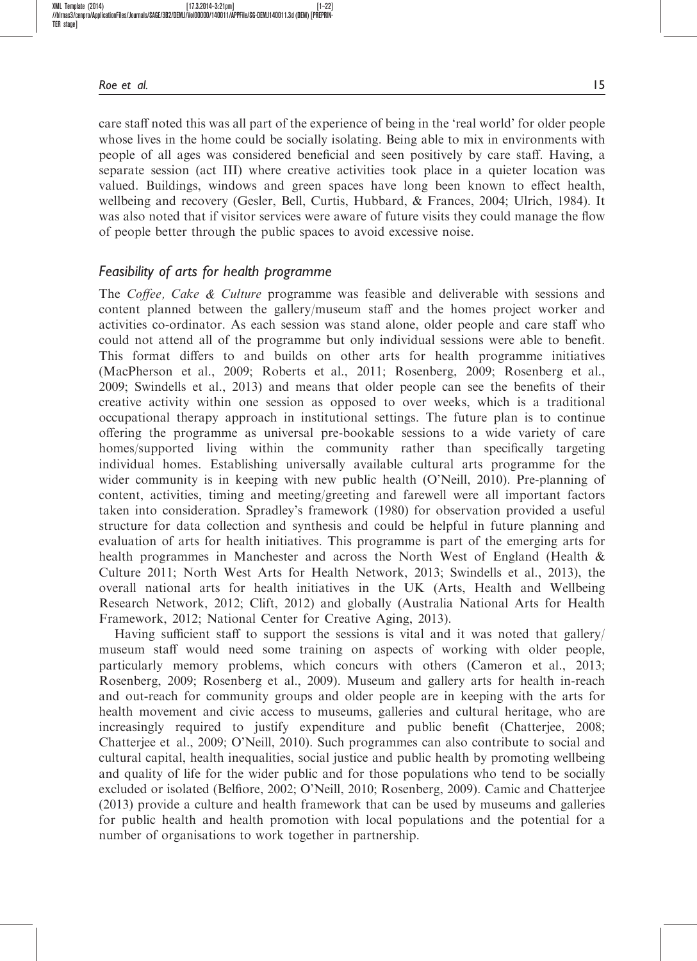care staff noted this was all part of the experience of being in the 'real world' for older people whose lives in the home could be socially isolating. Being able to mix in environments with people of all ages was considered beneficial and seen positively by care staff. Having, a separate session (act III) where creative activities took place in a quieter location was valued. Buildings, windows and green spaces have long been known to effect health, wellbeing and recovery (Gesler, Bell, Curtis, Hubbard, & Frances, 2004; Ulrich, 1984). It was also noted that if visitor services were aware of future visits they could manage the flow of people better through the public spaces to avoid excessive noise.

### Feasibility of arts for health programme

The Coffee, Cake & Culture programme was feasible and deliverable with sessions and content planned between the gallery/museum staff and the homes project worker and activities co-ordinator. As each session was stand alone, older people and care staff who could not attend all of the programme but only individual sessions were able to benefit. This format differs to and builds on other arts for health programme initiatives (MacPherson et al., 2009; Roberts et al., 2011; Rosenberg, 2009; Rosenberg et al., 2009; Swindells et al., 2013) and means that older people can see the benefits of their creative activity within one session as opposed to over weeks, which is a traditional occupational therapy approach in institutional settings. The future plan is to continue offering the programme as universal pre-bookable sessions to a wide variety of care homes/supported living within the community rather than specifically targeting individual homes. Establishing universally available cultural arts programme for the wider community is in keeping with new public health (O'Neill, 2010). Pre-planning of content, activities, timing and meeting/greeting and farewell were all important factors taken into consideration. Spradley's framework (1980) for observation provided a useful structure for data collection and synthesis and could be helpful in future planning and evaluation of arts for health initiatives. This programme is part of the emerging arts for health programmes in Manchester and across the North West of England (Health & Culture 2011; North West Arts for Health Network, 2013; Swindells et al., 2013), the overall national arts for health initiatives in the UK (Arts, Health and Wellbeing Research Network, 2012; Clift, 2012) and globally (Australia National Arts for Health Framework, 2012; National Center for Creative Aging, 2013).

Having sufficient staff to support the sessions is vital and it was noted that gallery/ museum staff would need some training on aspects of working with older people, particularly memory problems, which concurs with others (Cameron et al., 2013; Rosenberg, 2009; Rosenberg et al., 2009). Museum and gallery arts for health in-reach and out-reach for community groups and older people are in keeping with the arts for health movement and civic access to museums, galleries and cultural heritage, who are increasingly required to justify expenditure and public benefit (Chatterjee, 2008; Chatterjee et al., 2009; O'Neill, 2010). Such programmes can also contribute to social and cultural capital, health inequalities, social justice and public health by promoting wellbeing and quality of life for the wider public and for those populations who tend to be socially excluded or isolated (Belfiore, 2002; O'Neill, 2010; Rosenberg, 2009). Camic and Chatterjee (2013) provide a culture and health framework that can be used by museums and galleries for public health and health promotion with local populations and the potential for a number of organisations to work together in partnership.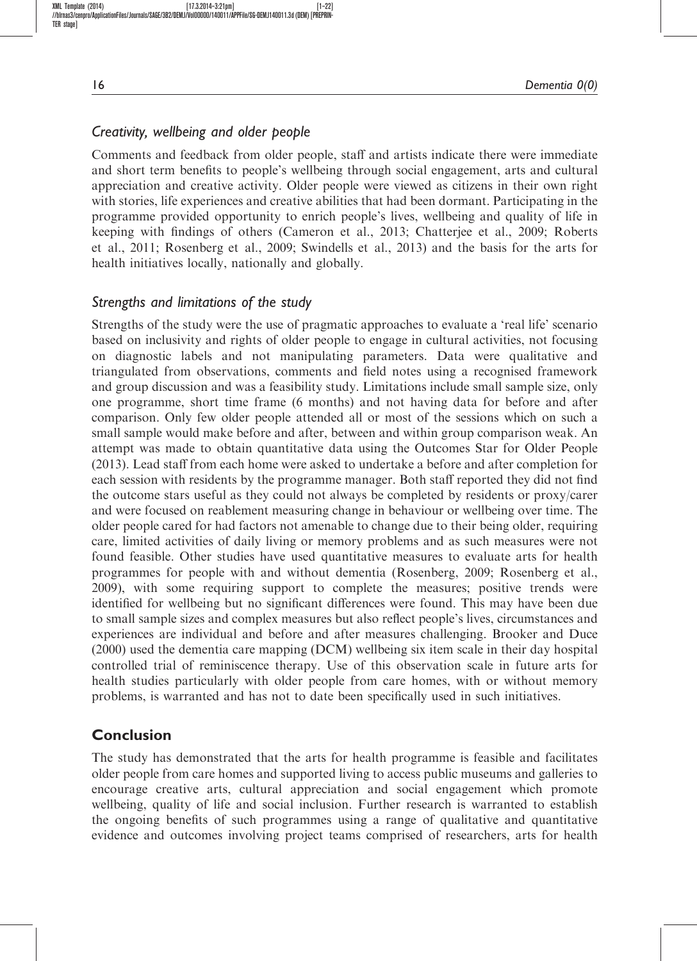XML Template (2014) [17.3.2014–3:21pm] [1–22] //blrnas3/cenpro/ApplicationFiles/Journals/SAGE/3B2/DEMJ/Vol00000/140011/APPFile/SG-DEMJ140011.3d (DEM) [PREPRIN-TER stane]

16 Dementia 0(0)

## Creativity, wellbeing and older people

Comments and feedback from older people, staff and artists indicate there were immediate and short term benefits to people's wellbeing through social engagement, arts and cultural appreciation and creative activity. Older people were viewed as citizens in their own right with stories, life experiences and creative abilities that had been dormant. Participating in the programme provided opportunity to enrich people's lives, wellbeing and quality of life in keeping with findings of others (Cameron et al., 2013; Chatterjee et al., 2009; Roberts et al., 2011; Rosenberg et al., 2009; Swindells et al., 2013) and the basis for the arts for health initiatives locally, nationally and globally.

## Strengths and limitations of the study

Strengths of the study were the use of pragmatic approaches to evaluate a 'real life' scenario based on inclusivity and rights of older people to engage in cultural activities, not focusing on diagnostic labels and not manipulating parameters. Data were qualitative and triangulated from observations, comments and field notes using a recognised framework and group discussion and was a feasibility study. Limitations include small sample size, only one programme, short time frame (6 months) and not having data for before and after comparison. Only few older people attended all or most of the sessions which on such a small sample would make before and after, between and within group comparison weak. An attempt was made to obtain quantitative data using the Outcomes Star for Older People (2013). Lead staff from each home were asked to undertake a before and after completion for each session with residents by the programme manager. Both staff reported they did not find the outcome stars useful as they could not always be completed by residents or proxy/carer and were focused on reablement measuring change in behaviour or wellbeing over time. The older people cared for had factors not amenable to change due to their being older, requiring care, limited activities of daily living or memory problems and as such measures were not found feasible. Other studies have used quantitative measures to evaluate arts for health programmes for people with and without dementia (Rosenberg, 2009; Rosenberg et al., 2009), with some requiring support to complete the measures; positive trends were identified for wellbeing but no significant differences were found. This may have been due to small sample sizes and complex measures but also reflect people's lives, circumstances and experiences are individual and before and after measures challenging. Brooker and Duce (2000) used the dementia care mapping (DCM) wellbeing six item scale in their day hospital controlled trial of reminiscence therapy. Use of this observation scale in future arts for health studies particularly with older people from care homes, with or without memory problems, is warranted and has not to date been specifically used in such initiatives.

#### Conclusion

The study has demonstrated that the arts for health programme is feasible and facilitates older people from care homes and supported living to access public museums and galleries to encourage creative arts, cultural appreciation and social engagement which promote wellbeing, quality of life and social inclusion. Further research is warranted to establish the ongoing benefits of such programmes using a range of qualitative and quantitative evidence and outcomes involving project teams comprised of researchers, arts for health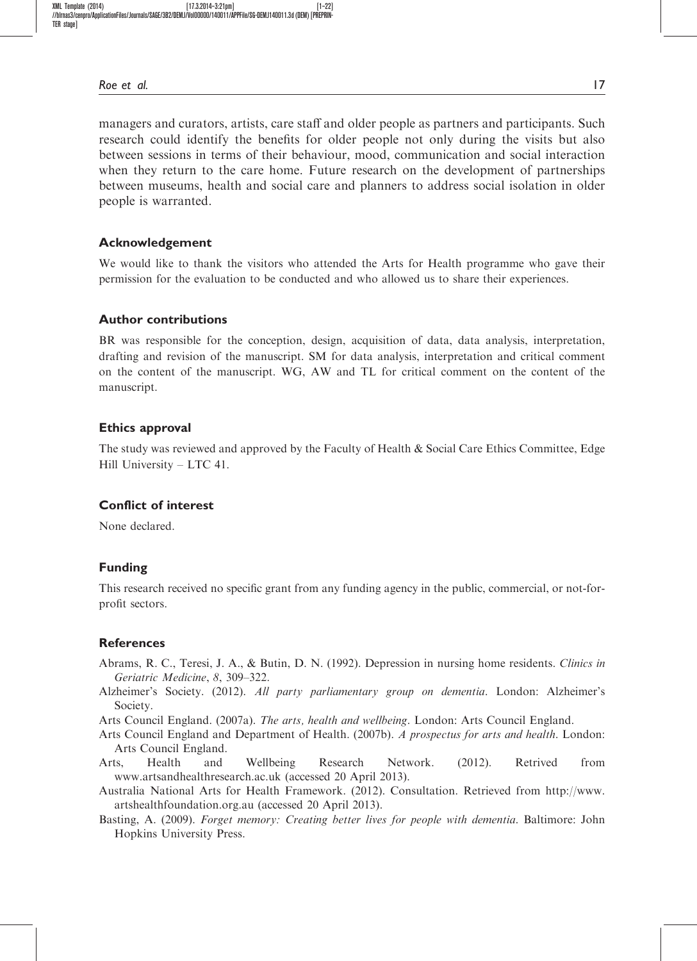managers and curators, artists, care staff and older people as partners and participants. Such research could identify the benefits for older people not only during the visits but also between sessions in terms of their behaviour, mood, communication and social interaction when they return to the care home. Future research on the development of partnerships between museums, health and social care and planners to address social isolation in older people is warranted.

#### Acknowledgement

We would like to thank the visitors who attended the Arts for Health programme who gave their permission for the evaluation to be conducted and who allowed us to share their experiences.

#### Author contributions

BR was responsible for the conception, design, acquisition of data, data analysis, interpretation, drafting and revision of the manuscript. SM for data analysis, interpretation and critical comment on the content of the manuscript. WG, AW and TL for critical comment on the content of the manuscript.

#### Ethics approval

The study was reviewed and approved by the Faculty of Health & Social Care Ethics Committee, Edge Hill University – LTC 41.

#### Conflict of interest

None declared.

#### Funding

This research received no specific grant from any funding agency in the public, commercial, or not-forprofit sectors.

#### References

- Abrams, R. C., Teresi, J. A., & Butin, D. N. (1992). Depression in nursing home residents. Clinics in Geriatric Medicine, 8, 309–322.
- Alzheimer's Society. (2012). All party parliamentary group on dementia. London: Alzheimer's Society.
- Arts Council England. (2007a). The arts, health and wellbeing. London: Arts Council England.
- Arts Council England and Department of Health. (2007b). A prospectus for arts and health. London: Arts Council England.
- Arts, Health and Wellbeing Research Network. (2012). Retrived from www.artsandhealthresearch.ac.uk (accessed 20 April 2013).
- Australia National Arts for Health Framework. (2012). Consultation. Retrieved from http://www. artshealthfoundation.org.au (accessed 20 April 2013).
- Basting, A. (2009). Forget memory: Creating better lives for people with dementia. Baltimore: John Hopkins University Press.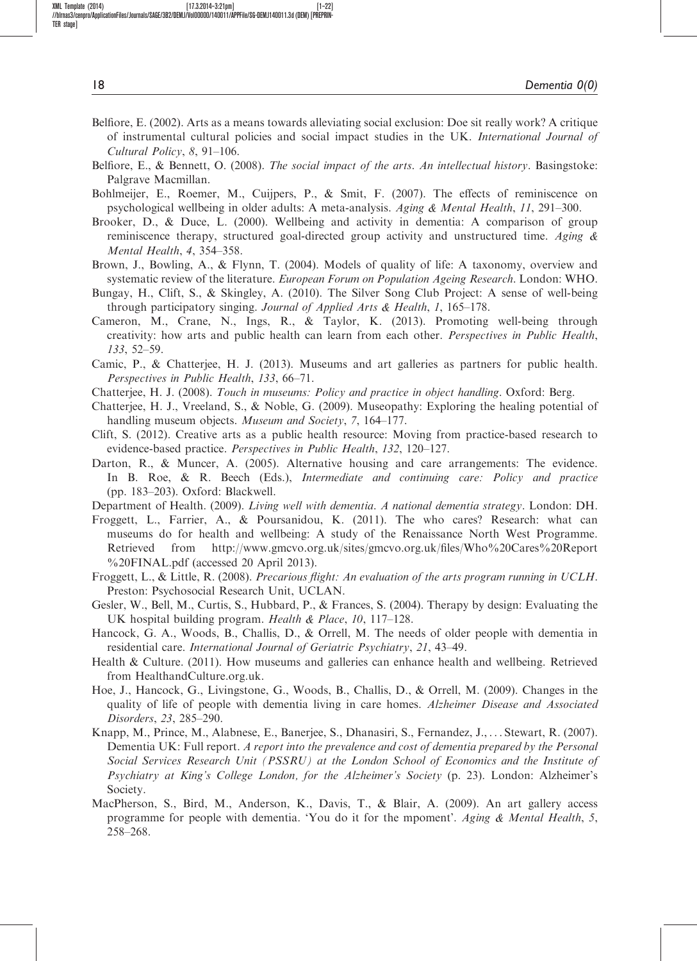| $         -$ |
|--------------|
|              |

- Belfiore, E. (2002). Arts as a means towards alleviating social exclusion: Doe sit really work? A critique of instrumental cultural policies and social impact studies in the UK. International Journal of Cultural Policy, 8, 91–106.
- Belfiore, E., & Bennett, O. (2008). The social impact of the arts. An intellectual history. Basingstoke: Palgrave Macmillan.
- Bohlmeijer, E., Roemer, M., Cuijpers, P., & Smit, F. (2007). The effects of reminiscence on psychological wellbeing in older adults: A meta-analysis. Aging & Mental Health, 11, 291–300.
- Brooker, D., & Duce, L. (2000). Wellbeing and activity in dementia: A comparison of group reminiscence therapy, structured goal-directed group activity and unstructured time. Aging  $\&$ Mental Health, 4, 354–358.
- Brown, J., Bowling, A., & Flynn, T. (2004). Models of quality of life: A taxonomy, overview and systematic review of the literature. European Forum on Population Ageing Research. London: WHO.
- Bungay, H., Clift, S., & Skingley, A. (2010). The Silver Song Club Project: A sense of well-being through participatory singing. Journal of Applied Arts & Health, 1, 165–178.
- Cameron, M., Crane, N., Ings, R., & Taylor, K. (2013). Promoting well-being through creativity: how arts and public health can learn from each other. Perspectives in Public Health, 133, 52–59.
- Camic, P., & Chatterjee, H. J. (2013). Museums and art galleries as partners for public health. Perspectives in Public Health, 133, 66–71.
- Chatterjee, H. J. (2008). Touch in museums: Policy and practice in object handling. Oxford: Berg.
- Chatterjee, H. J., Vreeland, S., & Noble, G. (2009). Museopathy: Exploring the healing potential of handling museum objects. Museum and Society, 7, 164-177.
- Clift, S. (2012). Creative arts as a public health resource: Moving from practice-based research to evidence-based practice. Perspectives in Public Health, 132, 120–127.
- Darton, R., & Muncer, A. (2005). Alternative housing and care arrangements: The evidence. In B. Roe, & R. Beech (Eds.), Intermediate and continuing care: Policy and practice (pp. 183–203). Oxford: Blackwell.

Department of Health. (2009). Living well with dementia. A national dementia strategy. London: DH.

- Froggett, L., Farrier, A., & Poursanidou, K. (2011). The who cares? Research: what can museums do for health and wellbeing: A study of the Renaissance North West Programme. Retrieved from http://www.gmcvo.org.uk/sites/gmcvo.org.uk/files/Who%20Cares%20Report %20FINAL.pdf (accessed 20 April 2013).
- Froggett, L., & Little, R. (2008). Precarious flight: An evaluation of the arts program running in UCLH. Preston: Psychosocial Research Unit, UCLAN.
- Gesler, W., Bell, M., Curtis, S., Hubbard, P., & Frances, S. (2004). Therapy by design: Evaluating the UK hospital building program. Health & Place, 10, 117–128.
- Hancock, G. A., Woods, B., Challis, D., & Orrell, M. The needs of older people with dementia in residential care. International Journal of Geriatric Psychiatry, 21, 43–49.
- Health & Culture. (2011). How museums and galleries can enhance health and wellbeing. Retrieved from HealthandCulture.org.uk.
- Hoe, J., Hancock, G., Livingstone, G., Woods, B., Challis, D., & Orrell, M. (2009). Changes in the quality of life of people with dementia living in care homes. Alzheimer Disease and Associated Disorders, 23, 285–290.
- Knapp, M., Prince, M., Alabnese, E., Banerjee, S., Dhanasiri, S., Fernandez, J., ... Stewart, R. (2007). Dementia UK: Full report. A report into the prevalence and cost of dementia prepared by the Personal Social Services Research Unit (PSSRU) at the London School of Economics and the Institute of Psychiatry at King's College London, for the Alzheimer's Society (p. 23). London: Alzheimer's Society.
- MacPherson, S., Bird, M., Anderson, K., Davis, T., & Blair, A. (2009). An art gallery access programme for people with dementia. 'You do it for the mpoment'. Aging & Mental Health, 5, 258–268.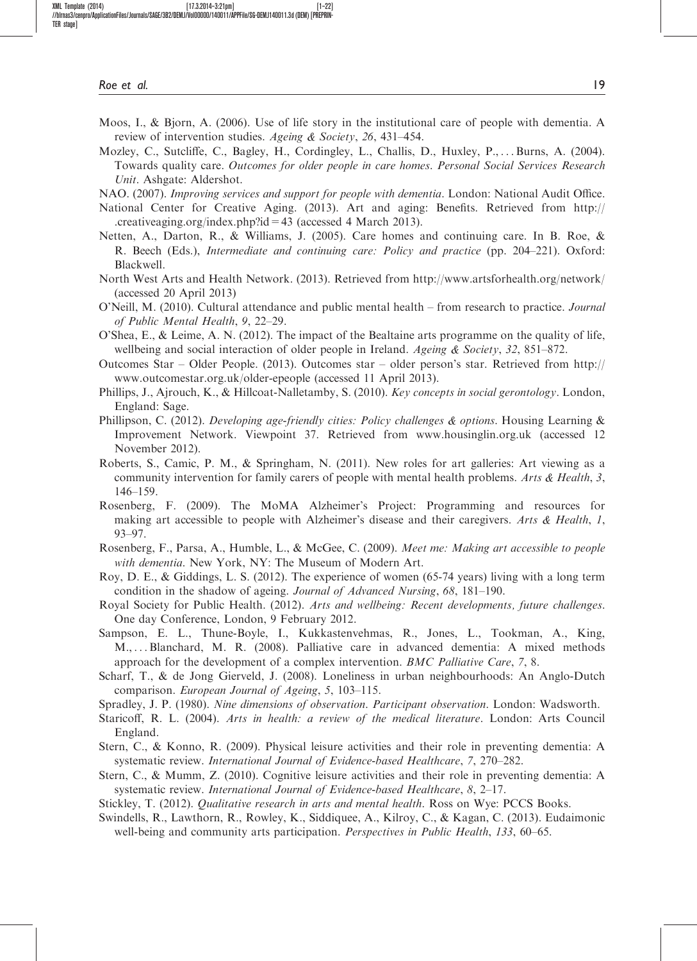Mozley, C., Sutcliffe, C., Bagley, H., Cordingley, L., Challis, D., Huxley, P., ...Burns, A. (2004). Towards quality care. Outcomes for older people in care homes. Personal Social Services Research Unit. Ashgate: Aldershot.

NAO. (2007). Improving services and support for people with dementia. London: National Audit Office.

National Center for Creative Aging. (2013). Art and aging: Benefits. Retrieved from http:// .creativeaging.org/index.php?id=43 (accessed 4 March 2013).

- Netten, A., Darton, R., & Williams, J. (2005). Care homes and continuing care. In B. Roe, & R. Beech (Eds.), Intermediate and continuing care: Policy and practice (pp. 204–221). Oxford: Blackwell.
- North West Arts and Health Network. (2013). Retrieved from http://www.artsforhealth.org/network/ (accessed 20 April 2013)
- O'Neill, M. (2010). Cultural attendance and public mental health from research to practice. Journal of Public Mental Health, 9, 22–29.
- O'Shea, E., & Leime, A. N. (2012). The impact of the Bealtaine arts programme on the quality of life, wellbeing and social interaction of older people in Ireland. Ageing & Society, 32, 851–872.
- Outcomes Star Older People. (2013). Outcomes star older person's star. Retrieved from http:// www.outcomestar.org.uk/older-epeople (accessed 11 April 2013).
- Phillips, J., Ajrouch, K., & Hillcoat-Nalletamby, S. (2010). Key concepts in social gerontology. London, England: Sage.
- Phillipson, C. (2012). Developing age-friendly cities: Policy challenges & options. Housing Learning & Improvement Network. Viewpoint 37. Retrieved from www.housinglin.org.uk (accessed 12 November 2012).
- Roberts, S., Camic, P. M., & Springham, N. (2011). New roles for art galleries: Art viewing as a community intervention for family carers of people with mental health problems. Arts  $\&$  Health, 3, 146–159.
- Rosenberg, F. (2009). The MoMA Alzheimer's Project: Programming and resources for making art accessible to people with Alzheimer's disease and their caregivers. Arts & Health, 1, 93–97.
- Rosenberg, F., Parsa, A., Humble, L., & McGee, C. (2009). Meet me: Making art accessible to people with dementia. New York, NY: The Museum of Modern Art.
- Roy, D. E., & Giddings, L. S. (2012). The experience of women (65-74 years) living with a long term condition in the shadow of ageing. Journal of Advanced Nursing, 68, 181–190.
- Royal Society for Public Health. (2012). Arts and wellbeing: Recent developments, future challenges. One day Conference, London, 9 February 2012.

Sampson, E. L., Thune-Boyle, I., Kukkastenvehmas, R., Jones, L., Tookman, A., King, M., ...Blanchard, M. R. (2008). Palliative care in advanced dementia: A mixed methods approach for the development of a complex intervention. BMC Palliative Care, 7, 8.

Scharf, T., & de Jong Gierveld, J. (2008). Loneliness in urban neighbourhoods: An Anglo-Dutch comparison. European Journal of Ageing, 5, 103–115.

Spradley, J. P. (1980). Nine dimensions of observation. Participant observation. London: Wadsworth.

- Staricoff, R. L. (2004). Arts in health: a review of the medical literature. London: Arts Council England.
- Stern, C., & Konno, R. (2009). Physical leisure activities and their role in preventing dementia: A systematic review. International Journal of Evidence-based Healthcare, 7, 270–282.
- Stern, C., & Mumm, Z. (2010). Cognitive leisure activities and their role in preventing dementia: A systematic review. International Journal of Evidence-based Healthcare, 8, 2–17.

Stickley, T. (2012). Qualitative research in arts and mental health. Ross on Wye: PCCS Books.

Swindells, R., Lawthorn, R., Rowley, K., Siddiquee, A., Kilroy, C., & Kagan, C. (2013). Eudaimonic well-being and community arts participation. *Perspectives in Public Health*, 133, 60–65.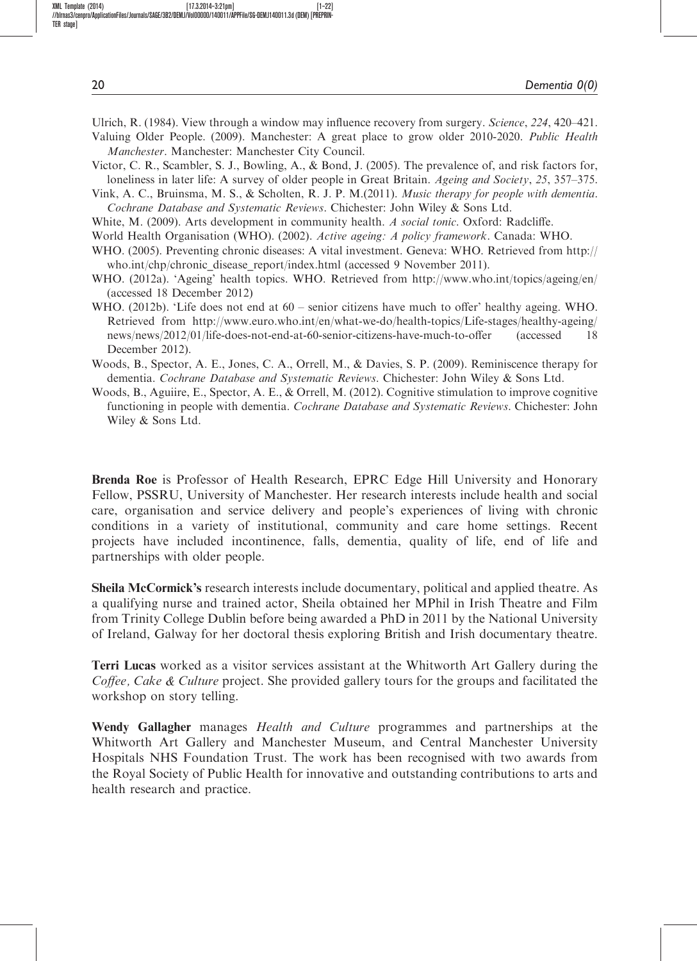| ۰.<br>I |        |
|---------|--------|
|         |        |
|         | $\sim$ |

Ulrich, R. (1984). View through a window may influence recovery from surgery. Science, 224, 420–421. Valuing Older People. (2009). Manchester: A great place to grow older 2010-2020. Public Health Manchester. Manchester: Manchester City Council.

Victor, C. R., Scambler, S. J., Bowling, A., & Bond, J. (2005). The prevalence of, and risk factors for, loneliness in later life: A survey of older people in Great Britain. Ageing and Society, 25, 357–375.

Vink, A. C., Bruinsma, M. S., & Scholten, R. J. P. M.(2011). Music therapy for people with dementia. Cochrane Database and Systematic Reviews. Chichester: John Wiley & Sons Ltd.

White, M. (2009). Arts development in community health. A social tonic. Oxford: Radcliffe.

- World Health Organisation (WHO). (2002). Active ageing: A policy framework. Canada: WHO.
- WHO. (2005). Preventing chronic diseases: A vital investment. Geneva: WHO. Retrieved from http:// who.int/chp/chronic\_disease\_report/index.html (accessed 9 November 2011).
- WHO. (2012a). 'Ageing' health topics. WHO. Retrieved from http://www.who.int/topics/ageing/en/ (accessed 18 December 2012)
- WHO. (2012b). 'Life does not end at  $60$  senior citizens have much to offer' healthy ageing. WHO. Retrieved from http://www.euro.who.int/en/what-we-do/health-topics/Life-stages/healthy-ageing/ news/news/2012/01/life-does-not-end-at-60-senior-citizens-have-much-to-offer (accessed 18 December 2012).
- Woods, B., Spector, A. E., Jones, C. A., Orrell, M., & Davies, S. P. (2009). Reminiscence therapy for dementia. Cochrane Database and Systematic Reviews. Chichester: John Wiley & Sons Ltd.
- Woods, B., Aguiire, E., Spector, A. E., & Orrell, M. (2012). Cognitive stimulation to improve cognitive functioning in people with dementia. Cochrane Database and Systematic Reviews. Chichester: John Wiley & Sons Ltd.

Brenda Roe is Professor of Health Research, EPRC Edge Hill University and Honorary Fellow, PSSRU, University of Manchester. Her research interests include health and social care, organisation and service delivery and people's experiences of living with chronic conditions in a variety of institutional, community and care home settings. Recent projects have included incontinence, falls, dementia, quality of life, end of life and partnerships with older people.

Sheila McCormick's research interests include documentary, political and applied theatre. As a qualifying nurse and trained actor, Sheila obtained her MPhil in Irish Theatre and Film from Trinity College Dublin before being awarded a PhD in 2011 by the National University of Ireland, Galway for her doctoral thesis exploring British and Irish documentary theatre.

Terri Lucas worked as a visitor services assistant at the Whitworth Art Gallery during the Coffee, Cake & Culture project. She provided gallery tours for the groups and facilitated the workshop on story telling.

Wendy Gallagher manages *Health and Culture* programmes and partnerships at the Whitworth Art Gallery and Manchester Museum, and Central Manchester University Hospitals NHS Foundation Trust. The work has been recognised with two awards from the Royal Society of Public Health for innovative and outstanding contributions to arts and health research and practice.